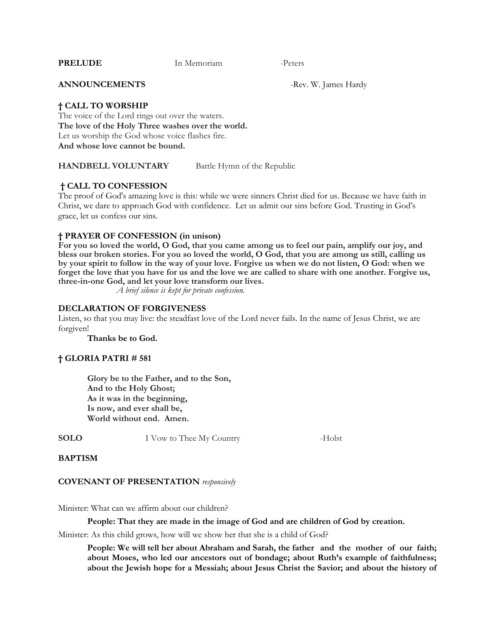**PRELUDE** In Memoriam -Peters

**ANNOUNCEMENTS** -Rev. W. James Hardy

## **† CALL TO WORSHIP**

The voice of the Lord rings out over the waters. **The love of the Holy Three washes over the world.** Let us worship the God whose voice flashes fire. **And whose love cannot be bound.**

**HANDBELL VOLUNTARY** Battle Hymn of the Republic

# **† CALL TO CONFESSION**

The proof of God's amazing love is this: while we were sinners Christ died for us. Because we have faith in Christ, we dare to approach God with confidence. Let us admit our sins before God. Trusting in God's grace, let us confess our sins.

## **† PRAYER OF CONFESSION (in unison)**

**For you so loved the world, O God, that you came among us to feel our pain, amplify our joy, and bless our broken stories. For you so loved the world, O God, that you are among us still, calling us by your spirit to follow in the way of your love. Forgive us when we do not listen, O God: when we forget the love that you have for us and the love we are called to share with one another. Forgive us, three-in-one God, and let your love transform our lives.**

*A brief silence is kept for private confession.*

## **DECLARATION OF FORGIVENESS**

Listen, so that you may live: the steadfast love of the Lord never fails. In the name of Jesus Christ, we are forgiven!

**Thanks be to God.**

## **† GLORIA PATRI # 581**

**Glory be to the Father, and to the Son, And to the Holy Ghost; As it was in the beginning, Is now, and ever shall be, World without end. Amen.**

**SOLO** I Vow to Thee My Country -Holst

## **BAPTISM**

## **COVENANT OF PRESENTATION** *responsively*

Minister: What can we affirm about our children?

**People: That they are made in the image of God and are children of God by creation.**

Minister: As this child grows, how will we show her that she is a child of God?

**People: We will tell her about Abraham and Sarah, the father and the mother of our faith; about Moses, who led our ancestors out of bondage; about Ruth's example of faithfulness; about the Jewish hope for a Messiah; about Jesus Christ the Savior; and about the history of**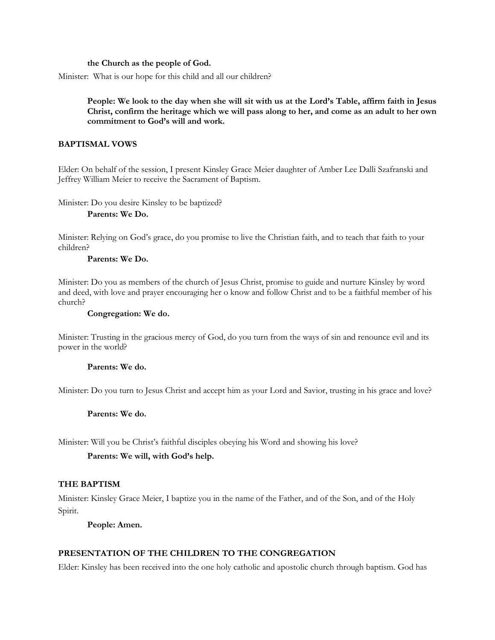#### **the Church as the people of God.**

Minister: What is our hope for this child and all our children?

**People: We look to the day when she will sit with us at the Lord's Table, affirm faith in Jesus Christ, confirm the heritage which we will pass along to her, and come as an adult to her own commitment to God's will and work.**

## **BAPTISMAL VOWS**

Elder: On behalf of the session, I present Kinsley Grace Meier daughter of Amber Lee Dalli Szafranski and Jeffrey William Meier to receive the Sacrament of Baptism.

Minister: Do you desire Kinsley to be baptized?

## **Parents: We Do.**

Minister: Relying on God's grace, do you promise to live the Christian faith, and to teach that faith to your children?

### **Parents: We Do.**

Minister: Do you as members of the church of Jesus Christ, promise to guide and nurture Kinsley by word and deed, with love and prayer encouraging her o know and follow Christ and to be a faithful member of his church?

#### **Congregation: We do.**

Minister: Trusting in the gracious mercy of God, do you turn from the ways of sin and renounce evil and its power in the world?

### **Parents: We do.**

Minister: Do you turn to Jesus Christ and accept him as your Lord and Savior, trusting in his grace and love?

## **Parents: We do.**

Minister: Will you be Christ's faithful disciples obeying his Word and showing his love?

**Parents: We will, with God's help.**

### **THE BAPTISM**

Minister: Kinsley Grace Meier, I baptize you in the name of the Father, and of the Son, and of the Holy Spirit.

**People: Amen.**

# **PRESENTATION OF THE CHILDREN TO THE CONGREGATION**

Elder: Kinsley has been received into the one holy catholic and apostolic church through baptism. God has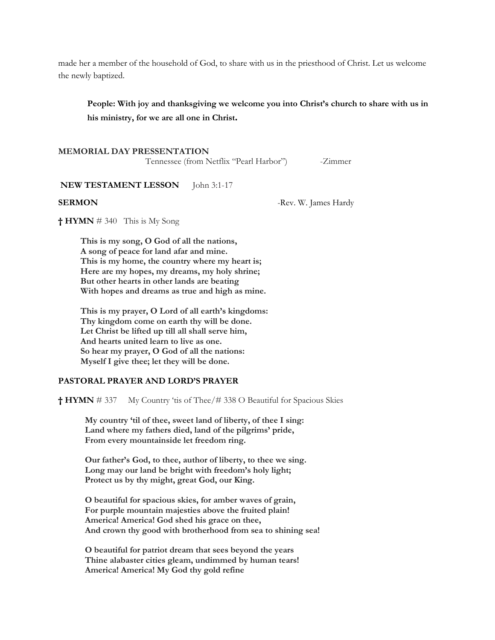made her a member of the household of God, to share with us in the priesthood of Christ. Let us welcome the newly baptized.

# **People: With joy and thanksgiving we welcome you into Christ's church to share with us in his ministry, for we are all one in Christ.**

#### **MEMORIAL DAY PRESSENTATION**

Tennessee (from Netflix "Pearl Harbor") -Zimmer

**NEW TESTAMENT LESSON** John 3:1-17

**SERMON** -Rev. W. James Hardy

**† HYMN** # 340 This is My Song

 **This is my song, O God of all the nations, A song of peace for land afar and mine. This is my home, the country where my heart is; Here are my hopes, my dreams, my holy shrine; But other hearts in other lands are beating With hopes and dreams as true and high as mine.**

 **This is my prayer, O Lord of all earth's kingdoms: Thy kingdom come on earth thy will be done. Let Christ be lifted up till all shall serve him, And hearts united learn to live as one. So hear my prayer, O God of all the nations: Myself I give thee; let they will be done.**

#### **PASTORAL PRAYER AND LORD'S PRAYER**

**† HYMN** # 337 My Country 'tis of Thee/# 338 O Beautiful for Spacious Skies

 **My country 'til of thee, sweet land of liberty, of thee I sing: Land where my fathers died, land of the pilgrims' pride, From every mountainside let freedom ring.**

 **Our father's God, to thee, author of liberty, to thee we sing. Long may our land be bright with freedom's holy light; Protect us by thy might, great God, our King.**

 **O beautiful for spacious skies, for amber waves of grain, For purple mountain majesties above the fruited plain! America! America! God shed his grace on thee, And crown thy good with brotherhood from sea to shining sea!**

 **O beautiful for patriot dream that sees beyond the years Thine alabaster cities gleam, undimmed by human tears! America! America! My God thy gold refine**